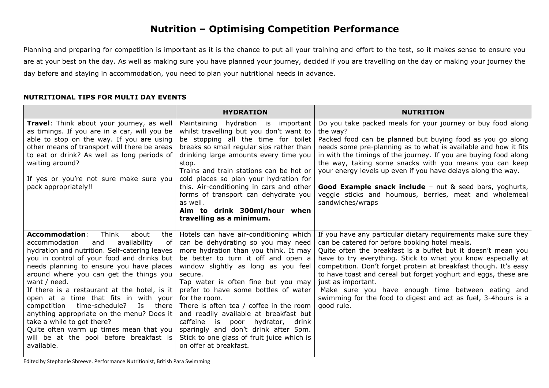## **Nutrition – Optimising Competition Performance**

Planning and preparing for competition is important as it is the chance to put all your training and effort to the test, so it makes sense to ensure you are at your best on the day. As well as making sure you have planned your journey, decided if you are travelling on the day or making your journey the day before and staying in accommodation, you need to plan your nutritional needs in advance.

## **NUTRITIONAL TIPS FOR MULTI DAY EVENTS**

|                                                                                                                                                                                                                                                                                                                                                                                                                                                                                                                                                                                                                            | <b>HYDRATION</b>                                                                                                                                                                                                                                                                                                                                                                                                                                                                                                                                                    | <b>NUTRITION</b>                                                                                                                                                                                                                                                                                                                                                                                                                                                                                                                                     |
|----------------------------------------------------------------------------------------------------------------------------------------------------------------------------------------------------------------------------------------------------------------------------------------------------------------------------------------------------------------------------------------------------------------------------------------------------------------------------------------------------------------------------------------------------------------------------------------------------------------------------|---------------------------------------------------------------------------------------------------------------------------------------------------------------------------------------------------------------------------------------------------------------------------------------------------------------------------------------------------------------------------------------------------------------------------------------------------------------------------------------------------------------------------------------------------------------------|------------------------------------------------------------------------------------------------------------------------------------------------------------------------------------------------------------------------------------------------------------------------------------------------------------------------------------------------------------------------------------------------------------------------------------------------------------------------------------------------------------------------------------------------------|
| Travel: Think about your journey, as well<br>as timings. If you are in a car, will you be<br>able to stop on the way. If you are using<br>other means of transport will there be areas<br>to eat or drink? As well as long periods of<br>waiting around?<br>If yes or you're not sure make sure you<br>pack appropriately!!                                                                                                                                                                                                                                                                                                | Maintaining<br>hydration is important<br>whilst travelling but you don't want to<br>be stopping all the time for toilet<br>breaks so small regular sips rather than<br>drinking large amounts every time you<br>stop.<br>Trains and train stations can be hot or<br>cold places so plan your hydration for<br>this. Air-conditioning in cars and other<br>forms of transport can dehydrate you<br>as well.<br>Aim to drink 300ml/hour when<br>travelling as a minimum.                                                                                              | Do you take packed meals for your journey or buy food along<br>the way?<br>Packed food can be planned but buying food as you go along<br>needs some pre-planning as to what is available and how it fits<br>in with the timings of the journey. If you are buying food along<br>the way, taking some snacks with you means you can keep<br>your energy levels up even if you have delays along the way.<br>Good Example snack include - nut & seed bars, yoghurts,<br>veggie sticks and houmous, berries, meat and wholemeal<br>sandwiches/wraps     |
| <b>Accommodation:</b><br>Think<br>about<br>the<br>accommodation<br>availability<br>and<br>of<br>hydration and nutrition. Self-catering leaves<br>you in control of your food and drinks but<br>needs planning to ensure you have places<br>around where you can get the things you<br>want / need.<br>If there is a restaurant at the hotel, is it<br>open at a time that fits in with your<br>time-schedule?<br>Is<br>competition<br>there<br>anything appropriate on the menu? Does it<br>take a while to get there?<br>Quite often warm up times mean that you<br>will be at the pool before breakfast is<br>available. | Hotels can have air-conditioning which<br>can be dehydrating so you may need<br>more hydration than you think. It may<br>be better to turn it off and open a<br>window slightly as long as you feel<br>secure.<br>Tap water is often fine but you may<br>prefer to have some bottles of water<br>for the room.<br>There is often tea / coffee in the room<br>and readily available at breakfast but<br>caffeine<br>hydrator,<br>drink<br>is<br>poor<br>sparingly and don't drink after 5pm.<br>Stick to one glass of fruit juice which is<br>on offer at breakfast. | If you have any particular dietary requirements make sure they<br>can be catered for before booking hotel meals.<br>Quite often the breakfast is a buffet but it doesn't mean you<br>have to try everything. Stick to what you know especially at<br>competition. Don't forget protein at breakfast though. It's easy<br>to have toast and cereal but forget yoghurt and eggs, these are<br>just as important.<br>Make sure you have enough time between eating and<br>swimming for the food to digest and act as fuel, 3-4 hours is a<br>good rule. |

Edited by Stephanie Shreeve. Performance Nutritionist, British Para Swimming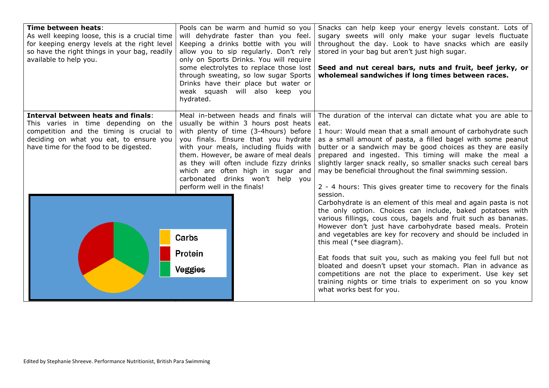| Time between heats:<br>As well keeping loose, this is a crucial time<br>for keeping energy levels at the right level<br>so have the right things in your bag, readily<br>available to help you.                    | Pools can be warm and humid so you<br>will dehydrate faster than you feel.<br>Keeping a drinks bottle with you will<br>allow you to sip regularly. Don't rely<br>only on Sports Drinks. You will require<br>some electrolytes to replace those lost<br>through sweating, so low sugar Sports<br>Drinks have their place but water or<br>weak squash will also keep you<br>hydrated.                 | Snacks can help keep your energy levels constant. Lots of<br>sugary sweets will only make your sugar levels fluctuate<br>throughout the day. Look to have snacks which are easily<br>stored in your bag but aren't just high sugar.<br>Seed and nut cereal bars, nuts and fruit, beef jerky, or<br>wholemeal sandwiches if long times between races.                                                                                                                                                                                                                                                                                                        |
|--------------------------------------------------------------------------------------------------------------------------------------------------------------------------------------------------------------------|-----------------------------------------------------------------------------------------------------------------------------------------------------------------------------------------------------------------------------------------------------------------------------------------------------------------------------------------------------------------------------------------------------|-------------------------------------------------------------------------------------------------------------------------------------------------------------------------------------------------------------------------------------------------------------------------------------------------------------------------------------------------------------------------------------------------------------------------------------------------------------------------------------------------------------------------------------------------------------------------------------------------------------------------------------------------------------|
| <b>Interval between heats and finals:</b><br>This varies in time depending on the<br>competition and the timing is crucial to<br>deciding on what you eat, to ensure you<br>have time for the food to be digested. | Meal in-between heads and finals will<br>usually be within 3 hours post heats<br>with plenty of time (3-4hours) before<br>you finals. Ensure that you hydrate<br>with your meals, including fluids with<br>them. However, be aware of meal deals<br>as they will often include fizzy drinks<br>which are often high in sugar and<br>carbonated drinks won't help you<br>perform well in the finals! | The duration of the interval can dictate what you are able to<br>eat.<br>1 hour: Would mean that a small amount of carbohydrate such<br>as a small amount of pasta, a filled bagel with some peanut<br>butter or a sandwich may be good choices as they are easily<br>prepared and ingested. This timing will make the meal a<br>slightly larger snack really, so smaller snacks such cereal bars<br>may be beneficial throughout the final swimming session.<br>2 - 4 hours: This gives greater time to recovery for the finals                                                                                                                            |
|                                                                                                                                                                                                                    | Carbs<br>Protein<br><b>Veggies</b>                                                                                                                                                                                                                                                                                                                                                                  | session.<br>Carbohydrate is an element of this meal and again pasta is not<br>the only option. Choices can include, baked potatoes with<br>various fillings, cous cous, bagels and fruit such as bananas.<br>However don't just have carbohydrate based meals. Protein<br>and vegetables are key for recovery and should be included in<br>this meal (*see diagram).<br>Eat foods that suit you, such as making you feel full but not<br>bloated and doesn't upset your stomach. Plan in advance as<br>competitions are not the place to experiment. Use key set<br>training nights or time trials to experiment on so you know<br>what works best for you. |